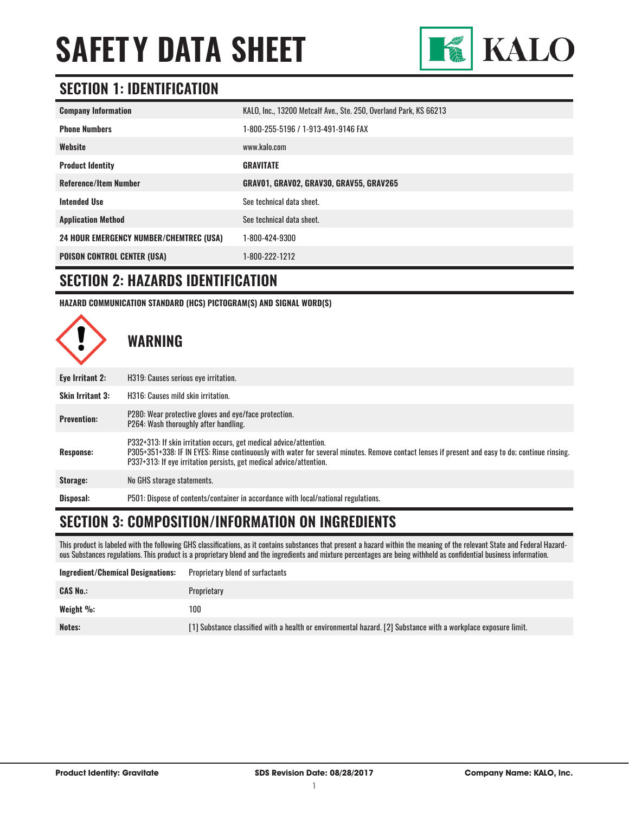

#### **SECTION 1: IDENTIFICATION**

| <b>Company Information</b>                     | KALO, Inc., 13200 Metcalf Ave., Ste. 250, Overland Park, KS 66213 |
|------------------------------------------------|-------------------------------------------------------------------|
| <b>Phone Numbers</b>                           | 1-800-255-5196 / 1-913-491-9146 FAX                               |
| Website                                        | www.kalo.com                                                      |
| <b>Product Identity</b>                        | <b>GRAVITATE</b>                                                  |
| <b>Reference/Item Number</b>                   | GRAVO1, GRAVO2, GRAV30, GRAV55, GRAV265                           |
| <b>Intended Use</b>                            | See technical data sheet.                                         |
| <b>Application Method</b>                      | See technical data sheet.                                         |
| <b>24 HOUR EMERGENCY NUMBER/CHEMTREC (USA)</b> | 1-800-424-9300                                                    |
| <b>POISON CONTROL CENTER (USA)</b>             | 1-800-222-1212                                                    |

#### **SECTION 2: HAZARDS IDENTIFICATION**

**HAZARD COMMUNICATION STANDARD (HCS) PICTOGRAM(S) AND SIGNAL WORD(S)**



#### **SECTION 3: COMPOSITION/INFORMATION ON INGREDIENTS**

This product is labeled with the following GHS classifications, as it contains substances that present a hazard within the meaning of the relevant State and Federal Hazardous Substances regulations. This product is a proprietary blend and the ingredients and mixture percentages are being withheld as confidential business information.

| Ingredient/Chemical Designations: | <b>Proprietary blend of surfactants</b>                                                                        |
|-----------------------------------|----------------------------------------------------------------------------------------------------------------|
| <b>CAS No.:</b>                   | Proprietary                                                                                                    |
| Weight %:                         | 100                                                                                                            |
| Notes:                            | [1] Substance classified with a health or environmental hazard. [2] Substance with a workplace exposure limit. |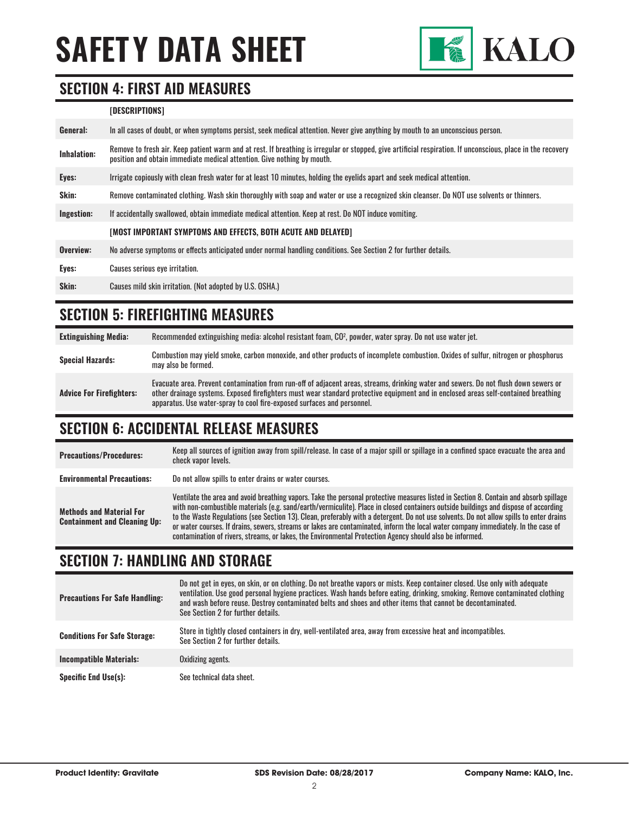

#### **SECTION 4: FIRST AID MEASURES**

#### **[DESCRIPTIONS]**

| General:           | In all cases of doubt, or when symptoms persist, seek medical attention. Never give anything by mouth to an unconscious person.                                                                                                         |  |
|--------------------|-----------------------------------------------------------------------------------------------------------------------------------------------------------------------------------------------------------------------------------------|--|
| <b>Inhalation:</b> | Remove to fresh air. Keep patient warm and at rest. If breathing is irregular or stopped, give artificial respiration. If unconscious, place in the recovery<br>position and obtain immediate medical attention. Give nothing by mouth. |  |
| Eyes:              | Irrigate copiously with clean fresh water for at least 10 minutes, holding the eyelids apart and seek medical attention.                                                                                                                |  |
| Skin:              | Remove contaminated clothing. Wash skin thoroughly with soap and water or use a recognized skin cleanser. Do NOT use solvents or thinners.                                                                                              |  |
| Ingestion:         | If accidentally swallowed, obtain immediate medical attention. Keep at rest. Do NOT induce vomiting.                                                                                                                                    |  |
|                    | [MOST IMPORTANT SYMPTOMS AND EFFECTS, BOTH ACUTE AND DELAYED]                                                                                                                                                                           |  |
| Overview:          | No adverse symptoms or effects anticipated under normal handling conditions. See Section 2 for further details.                                                                                                                         |  |
| Eyes:              | Causes serious eye irritation.                                                                                                                                                                                                          |  |
| Skin:              | Causes mild skin irritation. (Not adopted by U.S. OSHA.)                                                                                                                                                                                |  |

#### **SECTION 5: FIREFIGHTING MEASURES**

| <b>Extinguishing Media:</b>     | Recommended extinguishing media: alcohol resistant foam, CO <sup>2</sup> , powder, water spray. Do not use water jet.                                                                                                                                                                                                                                  |
|---------------------------------|--------------------------------------------------------------------------------------------------------------------------------------------------------------------------------------------------------------------------------------------------------------------------------------------------------------------------------------------------------|
| <b>Special Hazards:</b>         | Combustion may yield smoke, carbon monoxide, and other products of incomplete combustion. Oxides of sulfur, nitrogen or phosphorus<br>may also be formed.                                                                                                                                                                                              |
| <b>Advice For Firefighters:</b> | Evacuate area. Prevent contamination from run-off of adjacent areas, streams, drinking water and sewers. Do not flush down sewers or<br>other drainage systems. Exposed firefighters must wear standard protective equipment and in enclosed areas self-contained breathing<br>apparatus. Use water-spray to cool fire-exposed surfaces and personnel. |

#### **SECTION 6: ACCIDENTAL RELEASE MEASURES**

| <b>Precautions/Procedures:</b>                                         | Keep all sources of ignition away from spill/release. In case of a major spill or spillage in a confined space evacuate the area and<br>check vapor levels.                                                                                                                                                                                                                                                                                                                                                                                                                                                                                                               |
|------------------------------------------------------------------------|---------------------------------------------------------------------------------------------------------------------------------------------------------------------------------------------------------------------------------------------------------------------------------------------------------------------------------------------------------------------------------------------------------------------------------------------------------------------------------------------------------------------------------------------------------------------------------------------------------------------------------------------------------------------------|
| <b>Environmental Precautions:</b>                                      | Do not allow spills to enter drains or water courses.                                                                                                                                                                                                                                                                                                                                                                                                                                                                                                                                                                                                                     |
| <b>Methods and Material For</b><br><b>Containment and Cleaning Up:</b> | Ventilate the area and avoid breathing vapors. Take the personal protective measures listed in Section 8. Contain and absorb spillage<br>with non-combustible materials (e.g. sand/earth/vermiculite). Place in closed containers outside buildings and dispose of according<br>to the Waste Regulations (see Section 13). Clean, preferably with a detergent. Do not use solvents. Do not allow spills to enter drains<br>or water courses. If drains, sewers, streams or lakes are contaminated, inform the local water company immediately. In the case of<br>contamination of rivers, streams, or lakes, the Environmental Protection Agency should also be informed. |

#### **SECTION 7: HANDLING AND STORAGE**

| <b>Precautions For Safe Handling:</b> | Do not get in eyes, on skin, or on clothing. Do not breathe vapors or mists. Keep container closed. Use only with adequate<br>ventilation. Use good personal hygiene practices. Wash hands before eating, drinking, smoking. Remove contaminated clothing<br>and wash before reuse. Destrov contaminated belts and shoes and other items that cannot be decontaminated.<br>See Section 2 for further details. |  |
|---------------------------------------|---------------------------------------------------------------------------------------------------------------------------------------------------------------------------------------------------------------------------------------------------------------------------------------------------------------------------------------------------------------------------------------------------------------|--|
| <b>Conditions For Safe Storage:</b>   | Store in tightly closed containers in dry, well-ventilated area, away from excessive heat and incompatibles.<br>See Section 2 for further details.                                                                                                                                                                                                                                                            |  |
| <b>Incompatible Materials:</b>        | Oxidizing agents.                                                                                                                                                                                                                                                                                                                                                                                             |  |
| <b>Specific End Use(s):</b>           | See technical data sheet.                                                                                                                                                                                                                                                                                                                                                                                     |  |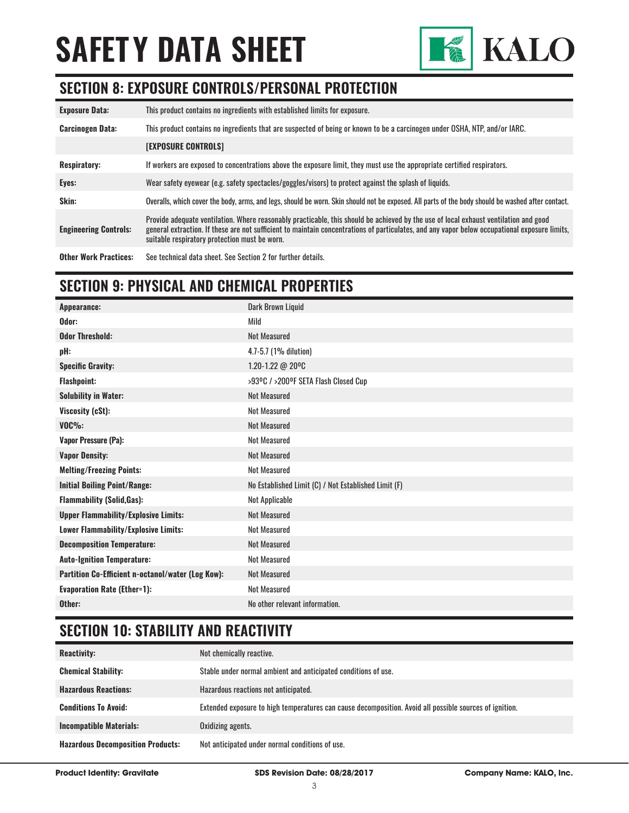

#### **SECTION 8: EXPOSURE CONTROLS/PERSONAL PROTECTION**

| <b>Exposure Data:</b>        | This product contains no ingredients with established limits for exposure.                                                                                                                                                                                                                                                             |  |
|------------------------------|----------------------------------------------------------------------------------------------------------------------------------------------------------------------------------------------------------------------------------------------------------------------------------------------------------------------------------------|--|
| <b>Carcinogen Data:</b>      | This product contains no ingredients that are suspected of being or known to be a carcinogen under OSHA, NTP, and/or IARC.                                                                                                                                                                                                             |  |
|                              | <b>[EXPOSURE CONTROLS]</b>                                                                                                                                                                                                                                                                                                             |  |
| <b>Respiratory:</b>          | If workers are exposed to concentrations above the exposure limit, they must use the appropriate certified respirators.                                                                                                                                                                                                                |  |
| Eyes:                        | Wear safety eyewear (e.g. safety spectacles/goggles/visors) to protect against the splash of liquids.                                                                                                                                                                                                                                  |  |
| Skin:                        | Overalls, which cover the body, arms, and legs, should be worn. Skin should not be exposed. All parts of the body should be washed after contact.                                                                                                                                                                                      |  |
| <b>Engineering Controls:</b> | Provide adequate ventilation. Where reasonably practicable, this should be achieved by the use of local exhaust ventilation and good<br>general extraction. If these are not sufficient to maintain concentrations of particulates, and any vapor below occupational exposure limits,<br>suitable respiratory protection must be worn. |  |

**Other Work Practices:** See technical data sheet. See Section 2 for further details.

### **SECTION 9: PHYSICAL AND CHEMICAL PROPERTIES**

| Appearance:                                       | <b>Dark Brown Liquid</b>                             |
|---------------------------------------------------|------------------------------------------------------|
| Odor:                                             | Mild                                                 |
| <b>Odor Threshold:</b>                            | <b>Not Measured</b>                                  |
| pH:                                               | 4.7-5.7 (1% dilution)                                |
| <b>Specific Gravity:</b>                          | 1.20-1.22 @ 20°C                                     |
| <b>Flashpoint:</b>                                | >93ºC / >200ºF SETA Flash Closed Cup                 |
| <b>Solubility in Water:</b>                       | <b>Not Measured</b>                                  |
| Viscosity (cSt):                                  | <b>Not Measured</b>                                  |
| $VOC\%$ :                                         | <b>Not Measured</b>                                  |
| <b>Vapor Pressure (Pa):</b>                       | <b>Not Measured</b>                                  |
| <b>Vapor Density:</b>                             | <b>Not Measured</b>                                  |
| <b>Melting/Freezing Points:</b>                   | <b>Not Measured</b>                                  |
| <b>Initial Boiling Point/Range:</b>               | No Established Limit (C) / Not Established Limit (F) |
| <b>Flammability (Solid, Gas):</b>                 | Not Applicable                                       |
| <b>Upper Flammability/Explosive Limits:</b>       | <b>Not Measured</b>                                  |
| Lower Flammability/Explosive Limits:              | <b>Not Measured</b>                                  |
| <b>Decomposition Temperature:</b>                 | <b>Not Measured</b>                                  |
| <b>Auto-Ignition Temperature:</b>                 | <b>Not Measured</b>                                  |
| Partition Co-Efficient n-octanol/water (Log Kow): | <b>Not Measured</b>                                  |
| <b>Evaporation Rate (Ether=1):</b>                | <b>Not Measured</b>                                  |
| Other:                                            | No other relevant information.                       |

### **SECTION 10: STABILITY AND REACTIVITY**

| <b>Reactivity:</b>                       | Not chemically reactive.                                                                                |
|------------------------------------------|---------------------------------------------------------------------------------------------------------|
| <b>Chemical Stability:</b>               | Stable under normal ambient and anticipated conditions of use.                                          |
| <b>Hazardous Reactions:</b>              | Hazardous reactions not anticipated.                                                                    |
| <b>Conditions To Avoid:</b>              | Extended exposure to high temperatures can cause decomposition. Avoid all possible sources of ignition. |
| <b>Incompatible Materials:</b>           | Oxidizing agents.                                                                                       |
| <b>Hazardous Decomposition Products:</b> | Not anticipated under normal conditions of use.                                                         |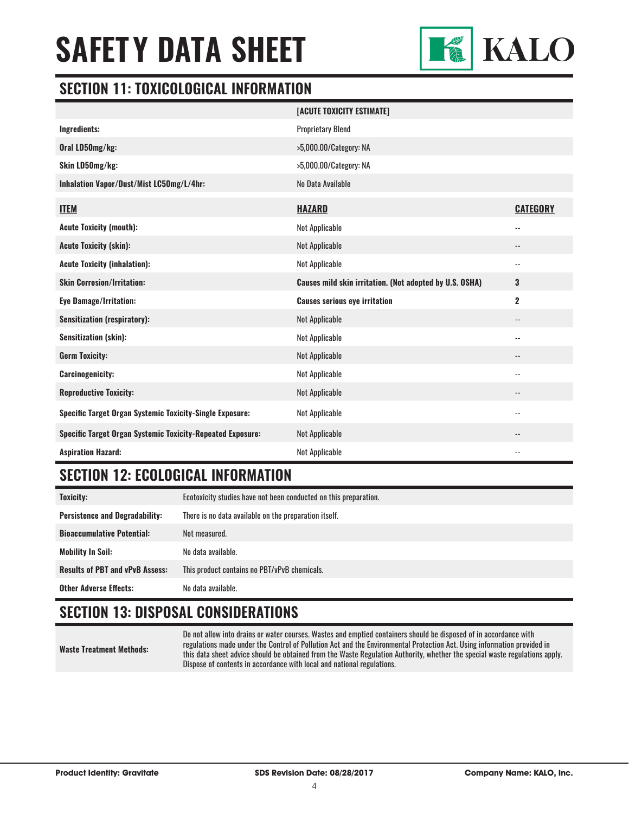

#### **SECTION 11: TOXICOLOGICAL INFORMATION**

|                                                                   | [ACUTE TOXICITY ESTIMATE]                               |                          |
|-------------------------------------------------------------------|---------------------------------------------------------|--------------------------|
| Ingredients:                                                      | <b>Proprietary Blend</b>                                |                          |
| Oral LD50mg/kg:                                                   | >5,000.00/Category: NA                                  |                          |
| Skin LD50mg/kg:                                                   | >5,000.00/Category: NA                                  |                          |
| Inhalation Vapor/Dust/Mist LC50mg/L/4hr:                          | No Data Available                                       |                          |
| <b>ITEM</b>                                                       | <b>HAZARD</b>                                           | <b>CATEGORY</b>          |
| <b>Acute Toxicity (mouth):</b>                                    | Not Applicable                                          | $\overline{\phantom{a}}$ |
| <b>Acute Toxicity (skin):</b>                                     | Not Applicable                                          | --                       |
| <b>Acute Toxicity (inhalation):</b>                               | Not Applicable                                          | --                       |
| <b>Skin Corrosion/Irritation:</b>                                 | Causes mild skin irritation. (Not adopted by U.S. OSHA) | $\mathbf{3}$             |
| <b>Eye Damage/Irritation:</b>                                     | <b>Causes serious eye irritation</b>                    | $\mathbf 2$              |
| <b>Sensitization (respiratory):</b>                               | Not Applicable                                          | $\overline{\phantom{a}}$ |
| <b>Sensitization (skin):</b>                                      | Not Applicable                                          | $-$                      |
| <b>Germ Toxicity:</b>                                             | Not Applicable                                          | --                       |
| <b>Carcinogenicity:</b>                                           | Not Applicable                                          | --                       |
| <b>Reproductive Toxicity:</b>                                     | Not Applicable                                          | $-$                      |
| <b>Specific Target Organ Systemic Toxicity-Single Exposure:</b>   | Not Applicable                                          | $-$                      |
| <b>Specific Target Organ Systemic Toxicity-Repeated Exposure:</b> | Not Applicable                                          |                          |
| <b>Aspiration Hazard:</b>                                         | Not Applicable                                          | --                       |

#### **SECTION 12: ECOLOGICAL INFORMATION**

| <b>Toxicity:</b>                       | Ecotoxicity studies have not been conducted on this preparation. |  |
|----------------------------------------|------------------------------------------------------------------|--|
| <b>Persistence and Degradability:</b>  | There is no data available on the preparation itself.            |  |
| <b>Bioaccumulative Potential:</b>      | Not measured.                                                    |  |
| Mobility In Soil:                      | No data available.                                               |  |
| <b>Results of PBT and vPvB Assess:</b> | This product contains no PBT/vPvB chemicals.                     |  |
| <b>Other Adverse Effects:</b>          | No data available.                                               |  |

### **SECTION 13: DISPOSAL CONSIDERATIONS**

**Waste Treatment Methods:**

Do not allow into drains or water courses. Wastes and emptied containers should be disposed of in accordance with regulations made under the Control of Pollution Act and the Environmental Protection Act. Using information provided in this data sheet advice should be obtained from the Waste Regulation Authority, whether the special waste regulations apply. Dispose of contents in accordance with local and national regulations.